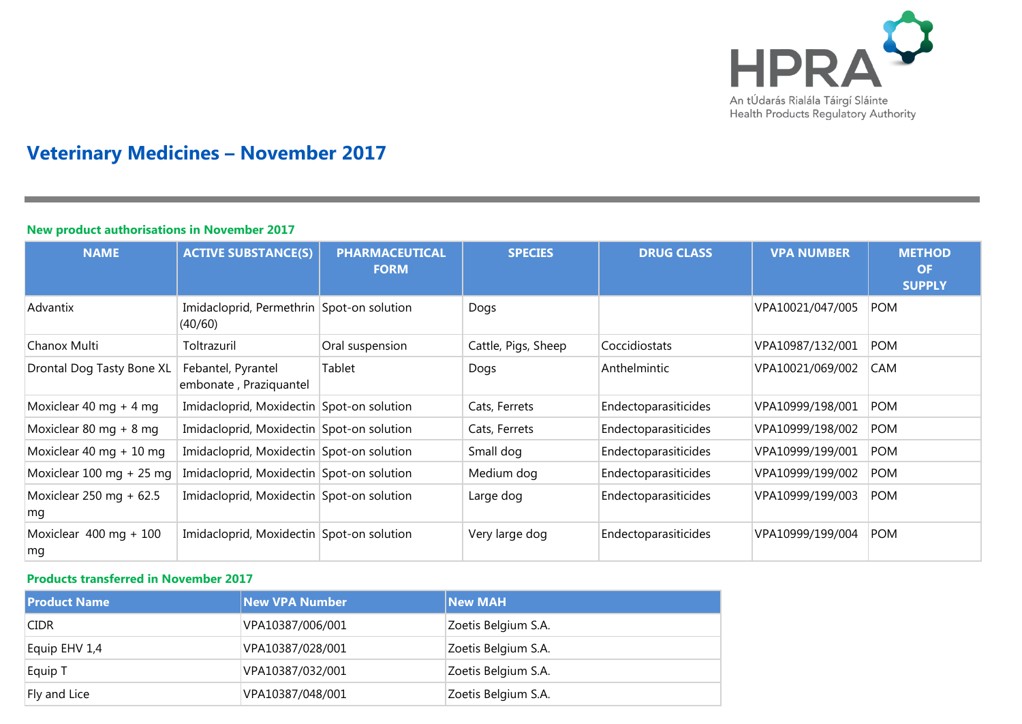

# **Veterinary Medicines – November 2017**

#### **New product authorisations in November 2017 NAME ACTIVE SUBSTANCE(S) PHARMACEUTICAL FORM SPECIES DRUG CLASS VPA NUMBER METHOD OF SUPPLY** Advantix Imidacloprid, Permethrin Spot-on solution (40/60) Dogs VPA10021/047/005 POM Chanox Multi Toltrazuril Cral suspension | Cattle, Pigs, Sheep | Coccidiostats | VPA10987/132/001 | POM Drontal Dog Tasty Bone XL | Febantel, Pyrantel embonate , Praziquantel Tablet Dogs Anthelmintic VPA10021/069/002 CAM Moxiclear 40 mg + 4 mg Imidacloprid, Moxidectin Spot-on solution Cats, Ferrets Endectoparasiticides VPA10999/198/001 POM Moxiclear 80 mg + 8 mg Imidacloprid, Moxidectin Spot-on solution Cats, Ferrets Endectoparasiticides VPA10999/198/002 POM Moxiclear 40 mg + 10 mg Imidacloprid, Moxidectin Spot-on solution Small dog Endectoparasiticides VPA10999/199/001 POM Moxiclear 100 mg + 25 mg | Imidacloprid, Moxidectin Spot-on solution Medium dog Bndectoparasiticides VPA10999/199/002 POM Moxiclear 250 mg + 62.5 mg Imidacloprid, Moxidectin Spot-on solution Large dog Endectoparasiticides VPA10999/199/003 POM Moxiclear 400 mg + 100 mg Imidacloprid, Moxidectin Spot-on solution Very large dog Endectoparasiticides VPA10999/199/004 POM

### **Products transferred in November 2017**

| <b>Product Name</b> | <b>New VPA Number</b> | <b>New MAH</b>      |
|---------------------|-----------------------|---------------------|
| <b>CIDR</b>         | VPA10387/006/001      | Zoetis Belgium S.A. |
| Equip EHV 1,4       | VPA10387/028/001      | Zoetis Belgium S.A. |
| Equip T             | VPA10387/032/001      | Zoetis Belgium S.A. |
| Fly and Lice        | VPA10387/048/001      | Zoetis Belgium S.A. |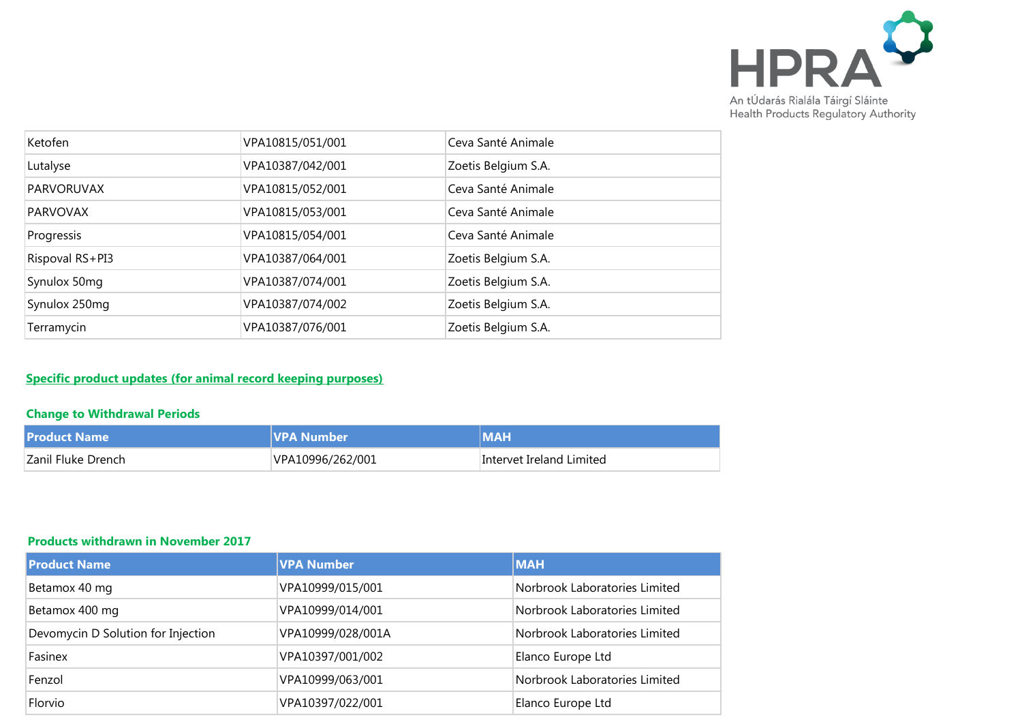

| Ketofen           | VPA10815/051/001 | Ceva Santé Animale  |
|-------------------|------------------|---------------------|
| Lutalyse          | VPA10387/042/001 | Zoetis Belgium S.A. |
| <b>PARVORUVAX</b> | VPA10815/052/001 | Ceva Santé Animale  |
| <b>PARVOVAX</b>   | VPA10815/053/001 | Ceva Santé Animale  |
| Progressis        | VPA10815/054/001 | Ceva Santé Animale  |
| Rispoval RS+PI3   | VPA10387/064/001 | Zoetis Belgium S.A. |
| Synulox 50mg      | VPA10387/074/001 | Zoetis Belgium S.A. |
| Synulox 250mg     | VPA10387/074/002 | Zoetis Belgium S.A. |
| Terramycin        | VPA10387/076/001 | Zoetis Belgium S.A. |

## **Specific product updates (for animal record keeping purposes)**

## **Change to Withdrawal Periods**

| <b>Product Name</b> | lVPA Number      | МАН                      |
|---------------------|------------------|--------------------------|
| Zanil Fluke Drench  | VPA10996/262/001 | Intervet Ireland Limited |

## **Products withdrawn in November 2017**

| <b>Product Name</b>                | <b>VPA Number</b> | <b>MAH</b>                    |
|------------------------------------|-------------------|-------------------------------|
| Betamox 40 mg                      | VPA10999/015/001  | Norbrook Laboratories Limited |
| Betamox 400 mg                     | VPA10999/014/001  | Norbrook Laboratories Limited |
| Devomycin D Solution for Injection | VPA10999/028/001A | Norbrook Laboratories Limited |
| Fasinex                            | VPA10397/001/002  | Elanco Europe Ltd             |
| Fenzol                             | VPA10999/063/001  | Norbrook Laboratories Limited |
| Florvio                            | VPA10397/022/001  | Elanco Europe Ltd             |